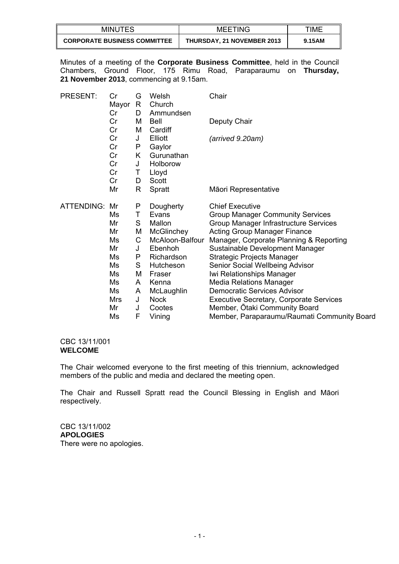| <b>MINUTES</b>                      | <b>MEETING</b>                    | TIME   |
|-------------------------------------|-----------------------------------|--------|
| <b>CORPORATE BUSINESS COMMITTEE</b> | <b>THURSDAY, 21 NOVEMBER 2013</b> | 9.15AM |

Minutes of a meeting of the **Corporate Business Committee**, held in the Council Chambers, Ground Floor, 175 Rimu Road, Paraparaumu on **Thursday, 21 November 2013**, commencing at 9.15am.

| <b>PRESENT:</b>      | Cr<br>Mayor<br>Cr | G<br>R<br>D | Welsh<br>Church<br>Ammundsen | Chair                                          |
|----------------------|-------------------|-------------|------------------------------|------------------------------------------------|
|                      | Cr<br>Cr          | м<br>м      | Bell<br>Cardiff              | Deputy Chair                                   |
|                      | Cr                | J           | Elliott                      | (arrived 9.20am)                               |
|                      | Cr                | P           | Gaylor                       |                                                |
|                      | Cr                | K           | Gurunathan                   |                                                |
|                      | Cr                | J           | Holborow                     |                                                |
|                      | Cr                | Τ           | Lloyd                        |                                                |
|                      | Cr                | D           | Scott                        |                                                |
|                      | Mr                | R           | Spratt                       | Māori Representative                           |
| <b>ATTENDING: Mr</b> |                   | P           | Dougherty                    | <b>Chief Executive</b>                         |
|                      | Ms                | Τ           | Evans                        | <b>Group Manager Community Services</b>        |
|                      | Mr                | S           | Mallon                       | Group Manager Infrastructure Services          |
|                      | Mr                | M           | McGlinchey                   | <b>Acting Group Manager Finance</b>            |
|                      | Ms                | С           | McAloon-Balfour              | Manager, Corporate Planning & Reporting        |
|                      | Mr                | J           | Ebenhoh                      | Sustainable Development Manager                |
|                      | Ms                | P           | Richardson                   | <b>Strategic Projects Manager</b>              |
|                      | Ms                | S           | Hutcheson                    | Senior Social Wellbeing Advisor                |
|                      | Ms                | M           | Fraser                       | Iwi Relationships Manager                      |
|                      | Ms                | A           | Kenna                        | <b>Media Relations Manager</b>                 |
|                      | Ms                | A           | McLaughlin                   | <b>Democratic Services Advisor</b>             |
|                      | Mrs               | J           | <b>Nock</b>                  | <b>Executive Secretary, Corporate Services</b> |
|                      | Mr                | J           | Cootes                       | Member, Otaki Community Board                  |
|                      | Ms                | F           | Vining                       | Member, Paraparaumu/Raumati Community Board    |

# CBC 13/11/001 **WELCOME**

The Chair welcomed everyone to the first meeting of this triennium, acknowledged members of the public and media and declared the meeting open.

The Chair and Russell Spratt read the Council Blessing in English and Māori respectively.

CBC 13/11/002 **APOLOGIES**  There were no apologies.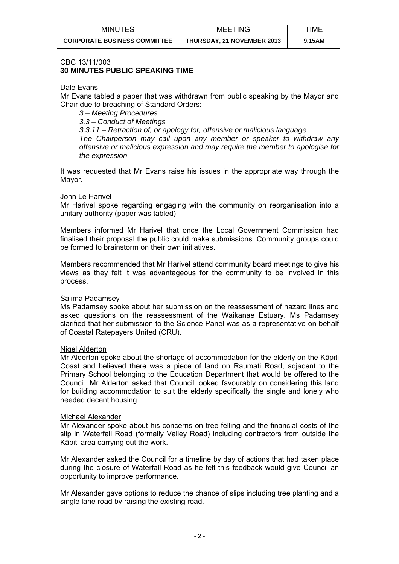| <b>MINUTES</b>                      | <b>MEETING</b>                    | <b>TIME</b> |
|-------------------------------------|-----------------------------------|-------------|
| <b>CORPORATE BUSINESS COMMITTEE</b> | <b>THURSDAY, 21 NOVEMBER 2013</b> | 9.15AM      |

#### CBC 13/11/003 **30 MINUTES PUBLIC SPEAKING TIME**

#### Dale Evans

Mr Evans tabled a paper that was withdrawn from public speaking by the Mayor and Chair due to breaching of Standard Orders:

*3 – Meeting Procedures 3.3 – Conduct of Meetings 3.3.11 – Retraction of, or apology for, offensive or malicious language The Chairperson may call upon any member or speaker to withdraw any offensive or malicious expression and may require the member to apologise for the expression.* 

It was requested that Mr Evans raise his issues in the appropriate way through the Mayor.

## John Le Harivel

Mr Harivel spoke regarding engaging with the community on reorganisation into a unitary authority (paper was tabled).

Members informed Mr Harivel that once the Local Government Commission had finalised their proposal the public could make submissions. Community groups could be formed to brainstorm on their own initiatives.

Members recommended that Mr Harivel attend community board meetings to give his views as they felt it was advantageous for the community to be involved in this process.

#### Salima Padamsey

Ms Padamsey spoke about her submission on the reassessment of hazard lines and asked questions on the reassessment of the Waikanae Estuary. Ms Padamsey clarified that her submission to the Science Panel was as a representative on behalf of Coastal Ratepayers United (CRU).

#### Nigel Alderton

Mr Alderton spoke about the shortage of accommodation for the elderly on the Kāpiti Coast and believed there was a piece of land on Raumati Road, adjacent to the Primary School belonging to the Education Department that would be offered to the Council. Mr Alderton asked that Council looked favourably on considering this land for building accommodation to suit the elderly specifically the single and lonely who needed decent housing.

#### Michael Alexander

Mr Alexander spoke about his concerns on tree felling and the financial costs of the slip in Waterfall Road (formally Valley Road) including contractors from outside the Kāpiti area carrying out the work.

Mr Alexander asked the Council for a timeline by day of actions that had taken place during the closure of Waterfall Road as he felt this feedback would give Council an opportunity to improve performance.

Mr Alexander gave options to reduce the chance of slips including tree planting and a single lane road by raising the existing road.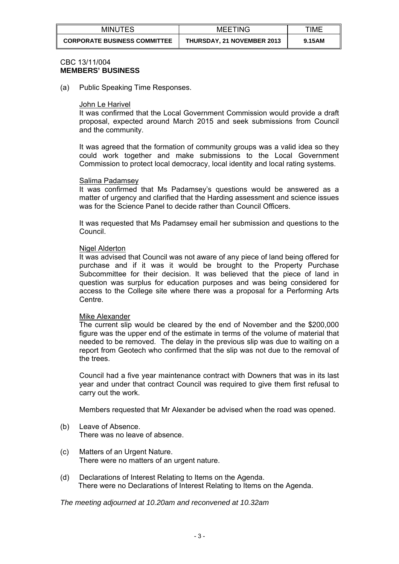| <b>MINUTES</b>                      | <b>MEETING</b>                    | TIME   |
|-------------------------------------|-----------------------------------|--------|
| <b>CORPORATE BUSINESS COMMITTEE</b> | <b>THURSDAY, 21 NOVEMBER 2013</b> | 9.15AM |

## CBC 13/11/004 **MEMBERS' BUSINESS**

(a) Public Speaking Time Responses.

#### John Le Harivel

It was confirmed that the Local Government Commission would provide a draft proposal, expected around March 2015 and seek submissions from Council and the community.

It was agreed that the formation of community groups was a valid idea so they could work together and make submissions to the Local Government Commission to protect local democracy, local identity and local rating systems.

#### Salima Padamsey

It was confirmed that Ms Padamsey's questions would be answered as a matter of urgency and clarified that the Harding assessment and science issues was for the Science Panel to decide rather than Council Officers.

It was requested that Ms Padamsey email her submission and questions to the Council.

#### Nigel Alderton

It was advised that Council was not aware of any piece of land being offered for purchase and if it was it would be brought to the Property Purchase Subcommittee for their decision. It was believed that the piece of land in question was surplus for education purposes and was being considered for access to the College site where there was a proposal for a Performing Arts Centre.

#### Mike Alexander

The current slip would be cleared by the end of November and the \$200,000 figure was the upper end of the estimate in terms of the volume of material that needed to be removed. The delay in the previous slip was due to waiting on a report from Geotech who confirmed that the slip was not due to the removal of the trees.

Council had a five year maintenance contract with Downers that was in its last year and under that contract Council was required to give them first refusal to carry out the work.

Members requested that Mr Alexander be advised when the road was opened.

- (b) Leave of Absence. There was no leave of absence.
- (c) Matters of an Urgent Nature. There were no matters of an urgent nature.
- (d) Declarations of Interest Relating to Items on the Agenda. There were no Declarations of Interest Relating to Items on the Agenda.

*The meeting adjourned at 10.20am and reconvened at 10.32am*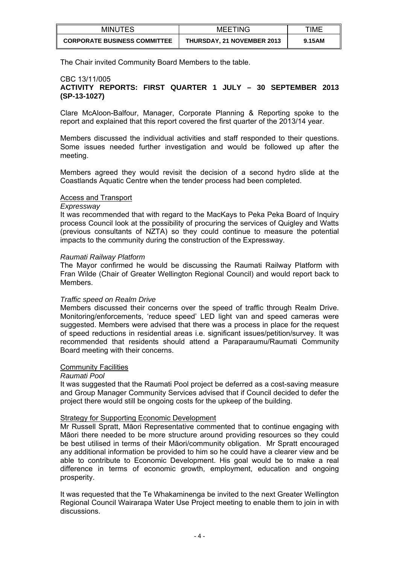| MINUTES                             | <b>MEETING</b>                    | TIME   |
|-------------------------------------|-----------------------------------|--------|
| <b>CORPORATE BUSINESS COMMITTEE</b> | <b>THURSDAY, 21 NOVEMBER 2013</b> | 9.15AM |

The Chair invited Community Board Members to the table.

# CBC 13/11/005

# **ACTIVITY REPORTS: FIRST QUARTER 1 JULY – 30 SEPTEMBER 2013 (SP-13-1027)**

Clare McAloon-Balfour, Manager, Corporate Planning & Reporting spoke to the report and explained that this report covered the first quarter of the 2013/14 year.

Members discussed the individual activities and staff responded to their questions. Some issues needed further investigation and would be followed up after the meeting.

Members agreed they would revisit the decision of a second hydro slide at the Coastlands Aquatic Centre when the tender process had been completed.

## Access and Transport

#### *Expressway*

It was recommended that with regard to the MacKays to Peka Peka Board of Inquiry process Council look at the possibility of procuring the services of Quigley and Watts (previous consultants of NZTA) so they could continue to measure the potential impacts to the community during the construction of the Expressway.

#### *Raumati Railway Platform*

The Mayor confirmed he would be discussing the Raumati Railway Platform with Fran Wilde (Chair of Greater Wellington Regional Council) and would report back to Members.

#### *Traffic speed on Realm Drive*

Members discussed their concerns over the speed of traffic through Realm Drive. Monitoring/enforcements, 'reduce speed' LED light van and speed cameras were suggested. Members were advised that there was a process in place for the request of speed reductions in residential areas i.e. significant issues/petition/survey. It was recommended that residents should attend a Paraparaumu/Raumati Community Board meeting with their concerns.

## **Community Facilities**

#### *Raumati Pool*

It was suggested that the Raumati Pool project be deferred as a cost-saving measure and Group Manager Community Services advised that if Council decided to defer the project there would still be ongoing costs for the upkeep of the building.

## Strategy for Supporting Economic Development

Mr Russell Spratt, Māori Representative commented that to continue engaging with Māori there needed to be more structure around providing resources so they could be best utilised in terms of their Māori/community obligation. Mr Spratt encouraged any additional information be provided to him so he could have a clearer view and be able to contribute to Economic Development. His goal would be to make a real difference in terms of economic growth, employment, education and ongoing prosperity.

It was requested that the Te Whakaminenga be invited to the next Greater Wellington Regional Council Wairarapa Water Use Project meeting to enable them to join in with discussions.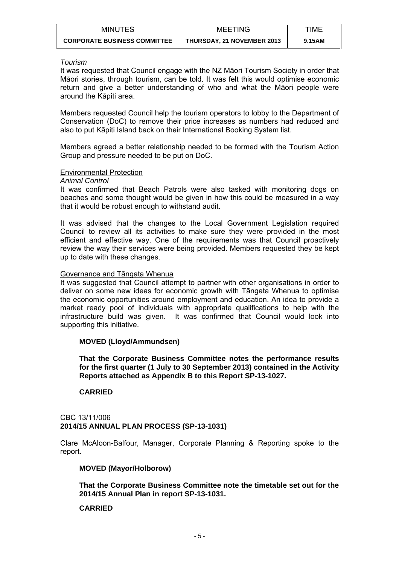| <b>MINUTES</b>                      | <b>MEETING</b>                    | TIME   |
|-------------------------------------|-----------------------------------|--------|
| <b>CORPORATE BUSINESS COMMITTEE</b> | <b>THURSDAY, 21 NOVEMBER 2013</b> | 9.15AM |

#### *Tourism*

It was requested that Council engage with the NZ Māori Tourism Society in order that Māori stories, through tourism, can be told. It was felt this would optimise economic return and give a better understanding of who and what the Māori people were around the Kāpiti area.

Members requested Council help the tourism operators to lobby to the Department of Conservation (DoC) to remove their price increases as numbers had reduced and also to put Kāpiti Island back on their International Booking System list.

Members agreed a better relationship needed to be formed with the Tourism Action Group and pressure needed to be put on DoC.

## Environmental Protection

#### *Animal Control*

It was confirmed that Beach Patrols were also tasked with monitoring dogs on beaches and some thought would be given in how this could be measured in a way that it would be robust enough to withstand audit.

It was advised that the changes to the Local Government Legislation required Council to review all its activities to make sure they were provided in the most efficient and effective way. One of the requirements was that Council proactively review the way their services were being provided. Members requested they be kept up to date with these changes.

## Governance and Tāngata Whenua

It was suggested that Council attempt to partner with other organisations in order to deliver on some new ideas for economic growth with Tāngata Whenua to optimise the economic opportunities around employment and education. An idea to provide a market ready pool of individuals with appropriate qualifications to help with the infrastructure build was given. It was confirmed that Council would look into supporting this initiative.

# **MOVED (Lloyd/Ammundsen)**

**That the Corporate Business Committee notes the performance results for the first quarter (1 July to 30 September 2013) contained in the Activity Reports attached as Appendix B to this Report SP-13-1027.** 

# **CARRIED**

## CBC 13/11/006 **2014/15 ANNUAL PLAN PROCESS (SP-13-1031)**

Clare McAloon-Balfour, Manager, Corporate Planning & Reporting spoke to the report.

#### **MOVED (Mayor/Holborow)**

**That the Corporate Business Committee note the timetable set out for the 2014/15 Annual Plan in report SP-13-1031.** 

#### **CARRIED**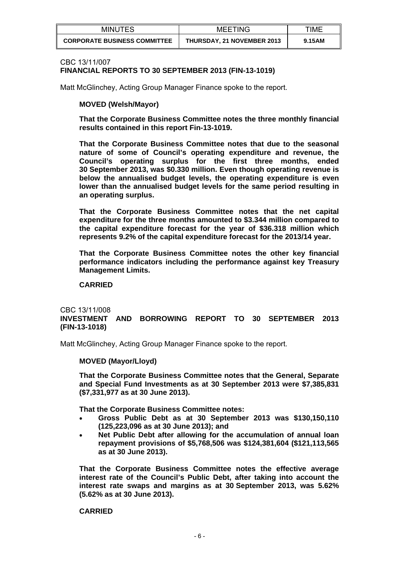| <b>MINUTES</b>                      | <b>MEETING</b>                    | TIME   |
|-------------------------------------|-----------------------------------|--------|
| <b>CORPORATE BUSINESS COMMITTEE</b> | <b>THURSDAY, 21 NOVEMBER 2013</b> | 9.15AM |

#### CBC 13/11/007

# **FINANCIAL REPORTS TO 30 SEPTEMBER 2013 (FIN-13-1019)**

Matt McGlinchey, Acting Group Manager Finance spoke to the report.

## **MOVED (Welsh/Mayor)**

**That the Corporate Business Committee notes the three monthly financial results contained in this report Fin-13-1019.** 

**That the Corporate Business Committee notes that due to the seasonal nature of some of Council's operating expenditure and revenue, the Council's operating surplus for the first three months, ended 30 September 2013, was \$0.330 million. Even though operating revenue is below the annualised budget levels, the operating expenditure is even lower than the annualised budget levels for the same period resulting in an operating surplus.** 

**That the Corporate Business Committee notes that the net capital expenditure for the three months amounted to \$3.344 million compared to the capital expenditure forecast for the year of \$36.318 million which represents 9.2% of the capital expenditure forecast for the 2013/14 year.** 

**That the Corporate Business Committee notes the other key financial performance indicators including the performance against key Treasury Management Limits.** 

#### **CARRIED**

## CBC 13/11/008 **INVESTMENT AND BORROWING REPORT TO 30 SEPTEMBER 2013 (FIN-13-1018)**

Matt McGlinchey, Acting Group Manager Finance spoke to the report.

#### **MOVED (Mayor/Lloyd)**

**That the Corporate Business Committee notes that the General, Separate and Special Fund Investments as at 30 September 2013 were \$7,385,831 (\$7,331,977 as at 30 June 2013).** 

**That the Corporate Business Committee notes:** 

- **Gross Public Debt as at 30 September 2013 was \$130,150,110 (125,223,096 as at 30 June 2013); and**
- **Net Public Debt after allowing for the accumulation of annual loan repayment provisions of \$5,768,506 was \$124,381,604 (\$121,113,565 as at 30 June 2013).**

**That the Corporate Business Committee notes the effective average interest rate of the Council's Public Debt, after taking into account the interest rate swaps and margins as at 30 September 2013, was 5.62% (5.62% as at 30 June 2013).** 

#### **CARRIED**